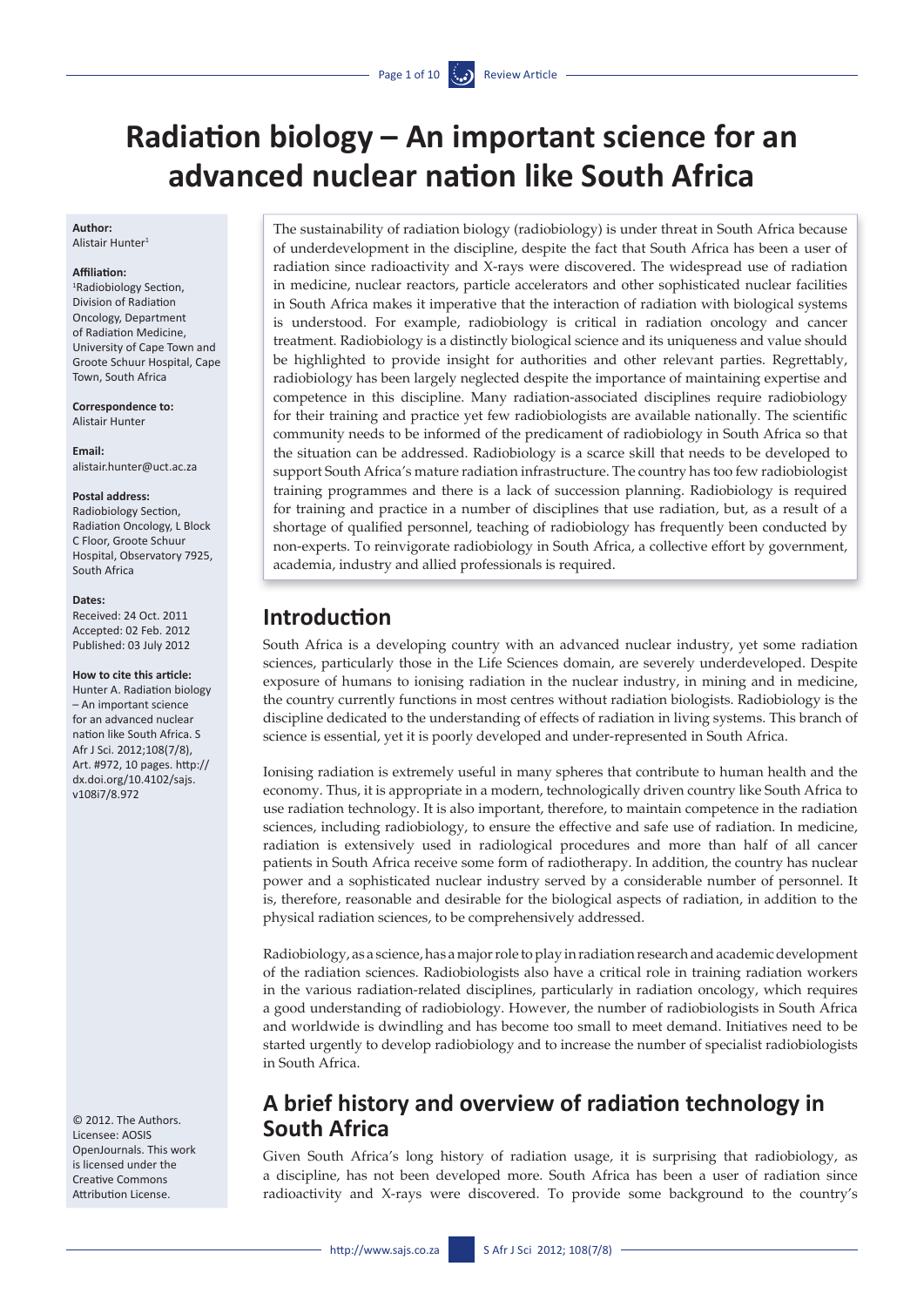# **Radiation biology – An important science for an advanced nuclear nation like South Africa**

#### **Author:** Alistair Hunter1

#### **Affiliation:**

1 Radiobiology Section, Division of Radiation Oncology, Department of Radiation Medicine, University of Cape Town and Groote Schuur Hospital, Cape Town, South Africa

**Correspondence to:**  Alistair Hunter

**Email:**  alistair.hunter@uct.ac.za

#### **Postal address:**

Radiobiology Section, Radiation Oncology, L Block C Floor, Groote Schuur Hospital, Observatory 7925, South Africa

#### **Dates:**

Received: 24 Oct. 2011 Accepted: 02 Feb. 2012 Published: 03 July 2012

#### **How to cite this article:**

Hunter A. Radiation biology – An important science for an advanced nuclear nation like South Africa. S Afr J Sci. 2012;108(7/8), Art. #972, 10 pages. [http://](http://dx.doi.org/10.4102/sajs.v108i5/6.972 ) [dx.doi.org/10.4102/sajs.](http://dx.doi.org/10.4102/sajs.v108i5/6.972 ) [v108i7/8.972](http://dx.doi.org/10.4102/sajs.v108i5/6.972 )

© 2012. The Authors. Licensee: AOSIS OpenJournals. This work is licensed under the Creative Commons Attribution License.

The sustainability of radiation biology (radiobiology) is under threat in South Africa because of underdevelopment in the discipline, despite the fact that South Africa has been a user of radiation since radioactivity and X-rays were discovered. The widespread use of radiation in medicine, nuclear reactors, particle accelerators and other sophisticated nuclear facilities in South Africa makes it imperative that the interaction of radiation with biological systems is understood. For example, radiobiology is critical in radiation oncology and cancer treatment. Radiobiology is a distinctly biological science and its uniqueness and value should be highlighted to provide insight for authorities and other relevant parties. Regrettably, radiobiology has been largely neglected despite the importance of maintaining expertise and competence in this discipline. Many radiation-associated disciplines require radiobiology for their training and practice yet few radiobiologists are available nationally. The scientific community needs to be informed of the predicament of radiobiology in South Africa so that the situation can be addressed. Radiobiology is a scarce skill that needs to be developed to support South Africa's mature radiation infrastructure. The country has too few radiobiologist training programmes and there is a lack of succession planning. Radiobiology is required for training and practice in a number of disciplines that use radiation, but, as a result of a shortage of qualified personnel, teaching of radiobiology has frequently been conducted by non-experts. To reinvigorate radiobiology in South Africa, a collective effort by government, academia, industry and allied professionals is required.

# **Introduction**

South Africa is a developing country with an advanced nuclear industry, yet some radiation sciences, particularly those in the Life Sciences domain, are severely underdeveloped. Despite exposure of humans to ionising radiation in the nuclear industry, in mining and in medicine, the country currently functions in most centres without radiation biologists. Radiobiology is the discipline dedicated to the understanding of effects of radiation in living systems. This branch of science is essential, yet it is poorly developed and under-represented in South Africa.

Ionising radiation is extremely useful in many spheres that contribute to human health and the economy. Thus, it is appropriate in a modern, technologically driven country like South Africa to use radiation technology. It is also important, therefore, to maintain competence in the radiation sciences, including radiobiology, to ensure the effective and safe use of radiation. In medicine, radiation is extensively used in radiological procedures and more than half of all cancer patients in South Africa receive some form of radiotherapy. In addition, the country has nuclear power and a sophisticated nuclear industry served by a considerable number of personnel. It is, therefore, reasonable and desirable for the biological aspects of radiation, in addition to the physical radiation sciences, to be comprehensively addressed.

Radiobiology, as a science, has a major role to play in radiation research and academic development of the radiation sciences. Radiobiologists also have a critical role in training radiation workers in the various radiation-related disciplines, particularly in radiation oncology, which requires a good understanding of radiobiology. However, the number of radiobiologists in South Africa and worldwide is dwindling and has become too small to meet demand. Initiatives need to be started urgently to develop radiobiology and to increase the number of specialist radiobiologists in South Africa.

# **A brief history and overview of radiation technology in South Africa**

Given South Africa's long history of radiation usage, it is surprising that radiobiology, as a discipline, has not been developed more. South Africa has been a user of radiation since radioactivity and X-rays were discovered. To provide some background to the country's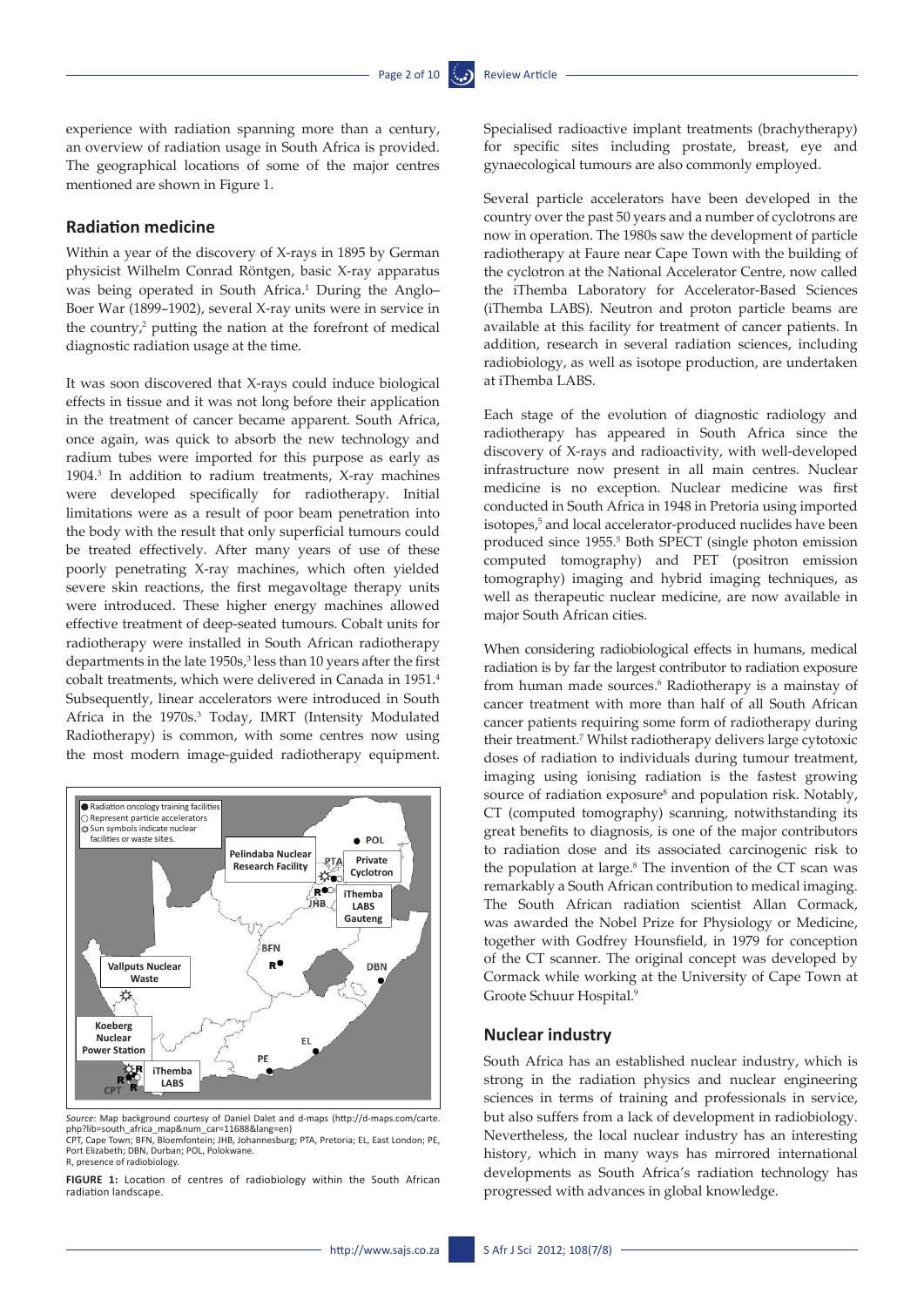experience with radiation spanning more than a century, an overview of radiation usage in South Africa is provided. The geographical locations of some of the major centres mentioned are shown in Figure 1.

### **Radiation medicine**

Within a year of the discovery of X-rays in 1895 by German physicist Wilhelm Conrad Röntgen, basic X-ray apparatus was being operated in South Africa.<sup>1</sup> During the Anglo-Boer War (1899–1902), several X-ray units were in service in the country, $2$  putting the nation at the forefront of medical diagnostic radiation usage at the time.

It was soon discovered that X-rays could induce biological effects in tissue and it was not long before their application in the treatment of cancer became apparent. South Africa, once again, was quick to absorb the new technology and radium tubes were imported for this purpose as early as 1904.3 In addition to radium treatments, X-ray machines were developed specifically for radiotherapy. Initial limitations were as a result of poor beam penetration into the body with the result that only superficial tumours could be treated effectively. After many years of use of these poorly penetrating X-ray machines, which often yielded severe skin reactions, the first megavoltage therapy units were introduced. These higher energy machines allowed effective treatment of deep-seated tumours. Cobalt units for radiotherapy were installed in South African radiotherapy departments in the late  $1950s$ ,<sup>3</sup> less than 10 years after the first cobalt treatments, which were delivered in Canada in 1951.4 Subsequently, linear accelerators were introduced in South Africa in the 1970s.<sup>3</sup> Today, IMRT (Intensity Modulated Radiotherapy) is common, with some centres now using the most modern image-guided radiotherapy equipment.



*Source*: Map background courtesy of Daniel Dalet and d-maps [\(http://d-maps.com/carte.](http://d-maps.com/carte.php?lib=south_africa_map&num_car=11688&lang=en) [php?lib=south\\_africa\\_map&num\\_car=11688&lang=en](http://d-maps.com/carte.php?lib=south_africa_map&num_car=11688&lang=en)) CPT, Cape Town; BFN, Bloemfontein; JHB, Johannesburg; PTA, Pretoria; EL, East London; PE, Port Elizabeth; DBN, Durban; POL, Polokwane. R, presence of radiobiology.

FIGURE 1: Location of centres of radiobiology within the South African radiation landscape.

Specialised radioactive implant treatments (brachytherapy) for specific sites including prostate, breast, eye and gynaecological tumours are also commonly employed.

Several particle accelerators have been developed in the country over the past 50 years and a number of cyclotrons are now in operation. The 1980s saw the development of particle radiotherapy at Faure near Cape Town with the building of the cyclotron at the National Accelerator Centre, now called the iThemba Laboratory for Accelerator-Based Sciences (iThemba LABS). Neutron and proton particle beams are available at this facility for treatment of cancer patients. In addition, research in several radiation sciences, including radiobiology, as well as isotope production, are undertaken at iThemba LABS.

Each stage of the evolution of diagnostic radiology and radiotherapy has appeared in South Africa since the discovery of X-rays and radioactivity, with well-developed infrastructure now present in all main centres. Nuclear medicine is no exception. Nuclear medicine was first conducted in South Africa in 1948 in Pretoria using imported isotopes,<sup>5</sup> and local accelerator-produced nuclides have been produced since 1955.<sup>5</sup> Both SPECT (single photon emission computed tomography) and PET (positron emission tomography) imaging and hybrid imaging techniques, as well as therapeutic nuclear medicine, are now available in major South African cities.

When considering radiobiological effects in humans, medical radiation is by far the largest contributor to radiation exposure from human made sources.<sup>6</sup> Radiotherapy is a mainstay of cancer treatment with more than half of all South African cancer patients requiring some form of radiotherapy during their treatment.7 Whilst radiotherapy delivers large cytotoxic doses of radiation to individuals during tumour treatment, imaging using ionising radiation is the fastest growing source of radiation exposure<sup>8</sup> and population risk. Notably, CT (computed tomography) scanning, notwithstanding its great benefits to diagnosis, is one of the major contributors to radiation dose and its associated carcinogenic risk to the population at large.<sup>8</sup> The invention of the CT scan was remarkably a South African contribution to medical imaging. The South African radiation scientist Allan Cormack, was awarded the Nobel Prize for Physiology or Medicine, together with Godfrey Hounsfield, in 1979 for conception of the CT scanner. The original concept was developed by Cormack while working at the University of Cape Town at Groote Schuur Hospital.9

### **Nuclear industry**

South Africa has an established nuclear industry, which is strong in the radiation physics and nuclear engineering sciences in terms of training and professionals in service, but also suffers from a lack of development in radiobiology. Nevertheless, the local nuclear industry has an interesting history, which in many ways has mirrored international developments as South Africa's radiation technology has progressed with advances in global knowledge.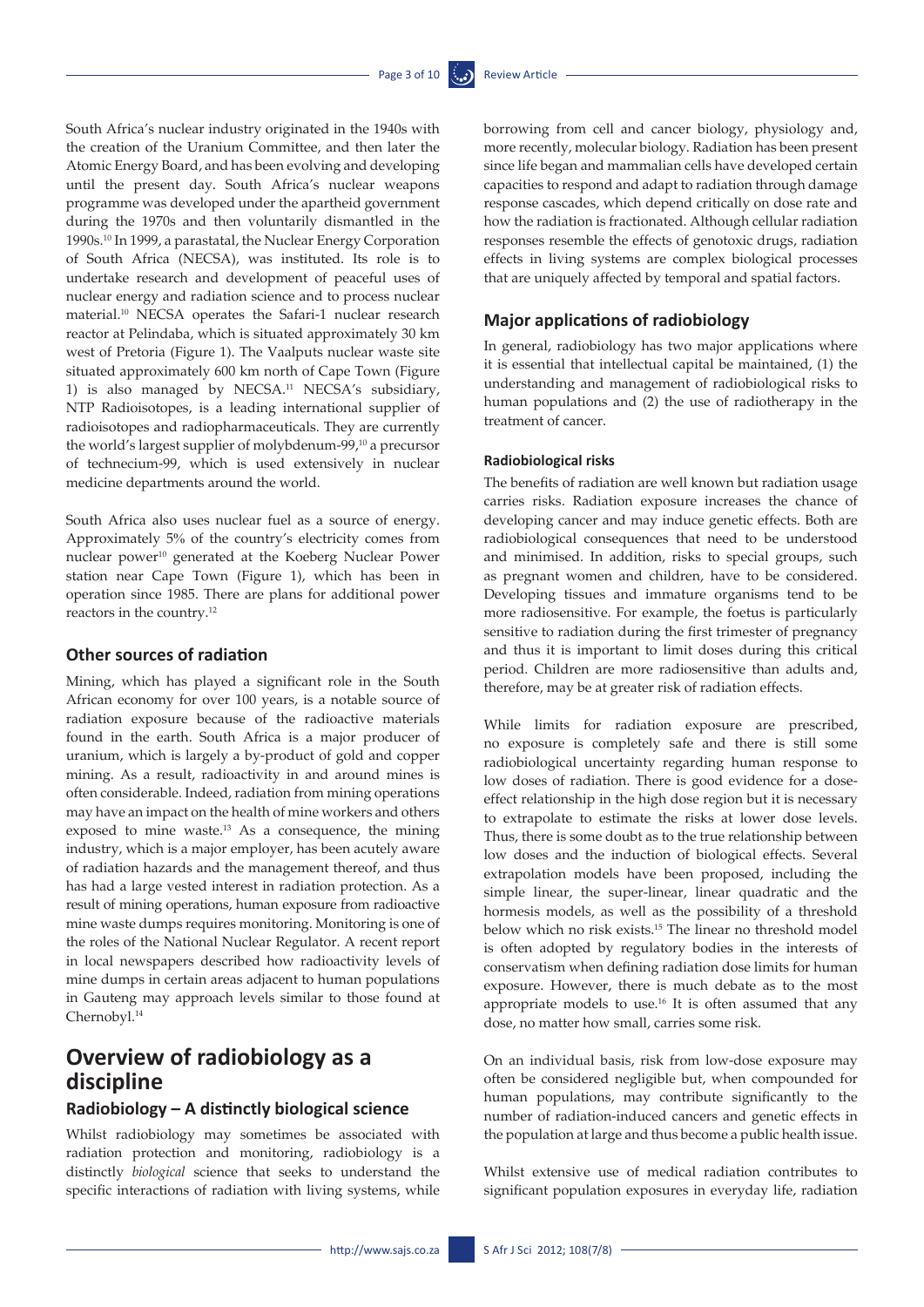South Africa's nuclear industry originated in the 1940s with the creation of the Uranium Committee, and then later the Atomic Energy Board, and has been evolving and developing until the present day. South Africa's nuclear weapons programme was developed under the apartheid government during the 1970s and then voluntarily dismantled in the 1990s.10 In 1999, a parastatal, the Nuclear Energy Corporation of South Africa (NECSA), was instituted. Its role is to undertake research and development of peaceful uses of nuclear energy and radiation science and to process nuclear material.10 NECSA operates the Safari-1 nuclear research reactor at Pelindaba, which is situated approximately 30 km west of Pretoria (Figure 1). The Vaalputs nuclear waste site situated approximately 600 km north of Cape Town (Figure 1) is also managed by NECSA.<sup>11</sup> NECSA's subsidiary, NTP Radioisotopes, is a leading international supplier of radioisotopes and radiopharmaceuticals. They are currently the world's largest supplier of molybdenum-99,<sup>10</sup> a precursor of technecium-99, which is used extensively in nuclear medicine departments around the world.

South Africa also uses nuclear fuel as a source of energy. Approximately 5% of the country's electricity comes from nuclear power<sup>10</sup> generated at the Koeberg Nuclear Power station near Cape Town (Figure 1), which has been in operation since 1985. There are plans for additional power reactors in the country.12

### **Other sources of radiation**

Mining, which has played a significant role in the South African economy for over 100 years, is a notable source of radiation exposure because of the radioactive materials found in the earth. South Africa is a major producer of uranium, which is largely a by-product of gold and copper mining. As a result, radioactivity in and around mines is often considerable. Indeed, radiation from mining operations may have an impact on the health of mine workers and others exposed to mine waste.<sup>13</sup> As a consequence, the mining industry, which is a major employer, has been acutely aware of radiation hazards and the management thereof, and thus has had a large vested interest in radiation protection. As a result of mining operations, human exposure from radioactive mine waste dumps requires monitoring. Monitoring is one of the roles of the National Nuclear Regulator. A recent report in local newspapers described how radioactivity levels of mine dumps in certain areas adjacent to human populations in Gauteng may approach levels similar to those found at Chernobyl.<sup>14</sup>

# **Overview of radiobiology as a discipline**

### **Radiobiology – A distinctly biological science**

Whilst radiobiology may sometimes be associated with radiation protection and monitoring, radiobiology is a distinctly *biological* science that seeks to understand the specific interactions of radiation with living systems, while borrowing from cell and cancer biology, physiology and, more recently, molecular biology. Radiation has been present since life began and mammalian cells have developed certain capacities to respond and adapt to radiation through damage response cascades, which depend critically on dose rate and how the radiation is fractionated. Although cellular radiation responses resemble the effects of genotoxic drugs, radiation effects in living systems are complex biological processes that are uniquely affected by temporal and spatial factors.

### **Major applications of radiobiology**

In general, radiobiology has two major applications where it is essential that intellectual capital be maintained, (1) the understanding and management of radiobiological risks to human populations and (2) the use of radiotherapy in the treatment of cancer.

#### **Radiobiological risks**

The benefits of radiation are well known but radiation usage carries risks. Radiation exposure increases the chance of developing cancer and may induce genetic effects. Both are radiobiological consequences that need to be understood and minimised. In addition, risks to special groups, such as pregnant women and children, have to be considered. Developing tissues and immature organisms tend to be more radiosensitive. For example, the foetus is particularly sensitive to radiation during the first trimester of pregnancy and thus it is important to limit doses during this critical period. Children are more radiosensitive than adults and, therefore, may be at greater risk of radiation effects.

While limits for radiation exposure are prescribed, no exposure is completely safe and there is still some radiobiological uncertainty regarding human response to low doses of radiation. There is good evidence for a doseeffect relationship in the high dose region but it is necessary to extrapolate to estimate the risks at lower dose levels. Thus, there is some doubt as to the true relationship between low doses and the induction of biological effects. Several extrapolation models have been proposed, including the simple linear, the super-linear, linear quadratic and the hormesis models, as well as the possibility of a threshold below which no risk exists.15 The linear no threshold model is often adopted by regulatory bodies in the interests of conservatism when defining radiation dose limits for human exposure. However, there is much debate as to the most appropriate models to use.16 It is often assumed that any dose, no matter how small, carries some risk.

On an individual basis, risk from low-dose exposure may often be considered negligible but, when compounded for human populations, may contribute significantly to the number of radiation-induced cancers and genetic effects in the population at large and thus become a public health issue.

Whilst extensive use of medical radiation contributes to significant population exposures in everyday life, radiation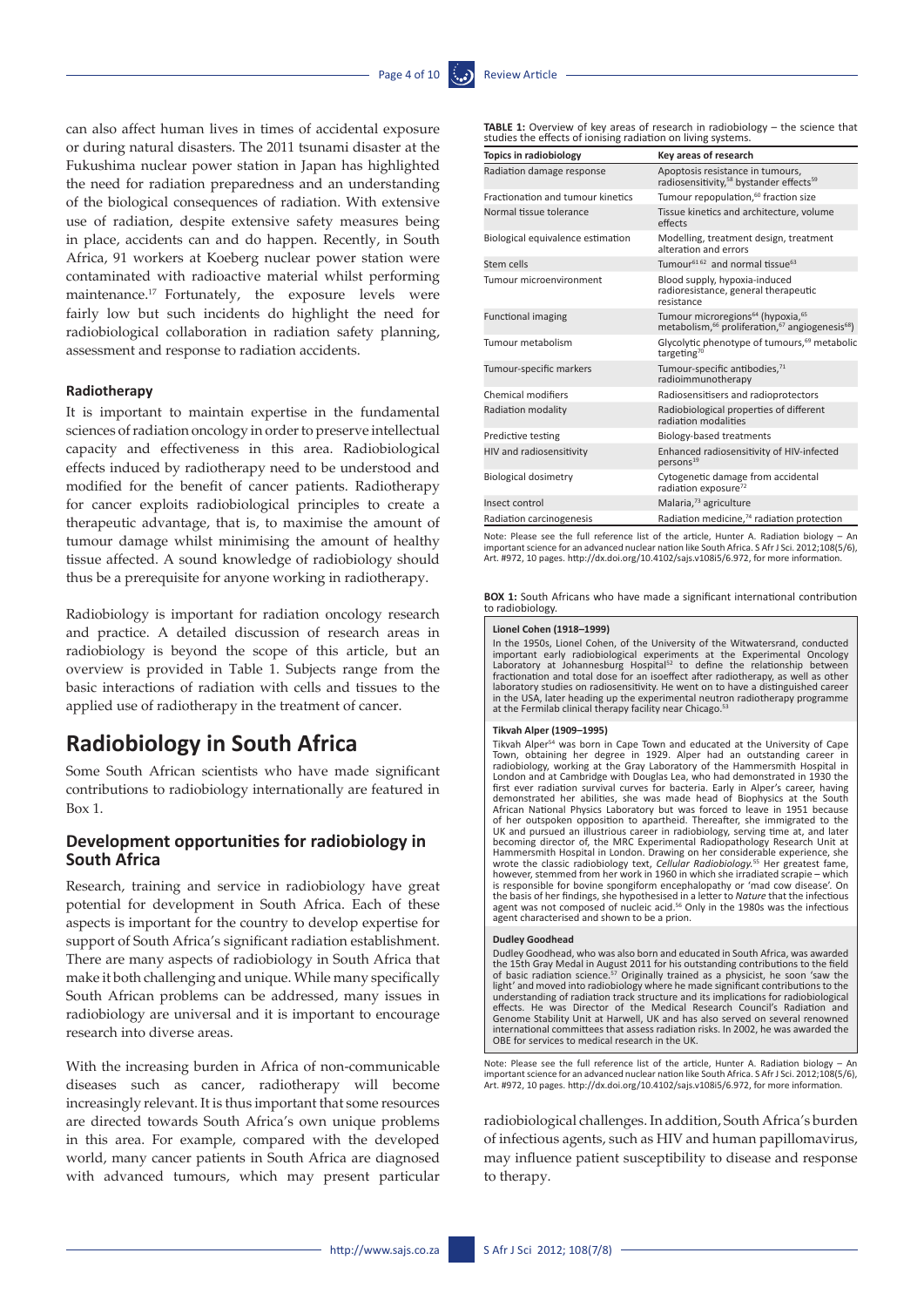can also affect human lives in times of accidental exposure or during natural disasters. The 2011 tsunami disaster at the Fukushima nuclear power station in Japan has highlighted the need for radiation preparedness and an understanding of the biological consequences of radiation. With extensive use of radiation, despite extensive safety measures being in place, accidents can and do happen. Recently, in South Africa, 91 workers at Koeberg nuclear power station were contaminated with radioactive material whilst performing maintenance.17 Fortunately, the exposure levels were fairly low but such incidents do highlight the need for radiobiological collaboration in radiation safety planning, assessment and response to radiation accidents.

#### **Radiotherapy**

It is important to maintain expertise in the fundamental sciences of radiation oncology in order to preserve intellectual capacity and effectiveness in this area. Radiobiological effects induced by radiotherapy need to be understood and modified for the benefit of cancer patients. Radiotherapy for cancer exploits radiobiological principles to create a therapeutic advantage, that is, to maximise the amount of tumour damage whilst minimising the amount of healthy tissue affected. A sound knowledge of radiobiology should thus be a prerequisite for anyone working in radiotherapy.

Radiobiology is important for radiation oncology research and practice. A detailed discussion of research areas in radiobiology is beyond the scope of this article, but an overview is provided in Table 1. Subjects range from the basic interactions of radiation with cells and tissues to the applied use of radiotherapy in the treatment of cancer.

# **Radiobiology in South Africa**

Some South African scientists who have made significant contributions to radiobiology internationally are featured in Box 1.

# **Development opportunities for radiobiology in South Africa**

Research, training and service in radiobiology have great potential for development in South Africa. Each of these aspects is important for the country to develop expertise for support of South Africa's significant radiation establishment. There are many aspects of radiobiology in South Africa that make it both challenging and unique. While many specifically South African problems can be addressed, many issues in radiobiology are universal and it is important to encourage research into diverse areas.

With the increasing burden in Africa of non-communicable diseases such as cancer, radiotherapy will become increasingly relevant. It is thus important that some resources are directed towards South Africa's own unique problems in this area. For example, compared with the developed world, many cancer patients in South Africa are diagnosed with advanced tumours, which may present particular

**TABLE 1:** Overview of key areas of research in radiobiology – the science that studies the effects of ionising radiation on living systems.

| <b>Topics in radiobiology</b>     | Key areas of research                                                                                                                 |
|-----------------------------------|---------------------------------------------------------------------------------------------------------------------------------------|
| Radiation damage response         | Apoptosis resistance in tumours,<br>radiosensitivity, <sup>58</sup> bystander effects <sup>59</sup>                                   |
| Fractionation and tumour kinetics | Tumour repopulation, <sup>60</sup> fraction size                                                                                      |
| Normal tissue tolerance           | Tissue kinetics and architecture, volume<br>effects                                                                                   |
| Biological equivalence estimation | Modelling, treatment design, treatment<br>alteration and errors                                                                       |
| Stem cells                        | Tumour <sup>6162</sup> and normal fissue <sup>63</sup>                                                                                |
| Tumour microenvironment           | Blood supply, hypoxia-induced<br>radioresistance, general therapeutic<br>resistance                                                   |
| <b>Functional imaging</b>         | Tumour microregions <sup>64</sup> (hypoxia, 65<br>metabolism, <sup>66</sup> proliferation, <sup>67</sup> angiogenesis <sup>68</sup> ) |
| Tumour metabolism                 | Glycolytic phenotype of tumours, <sup>69</sup> metabolic<br>targeting <sup>70</sup>                                                   |
| Tumour-specific markers           | Tumour-specific antibodies, <sup>71</sup><br>radioimmunotherapy                                                                       |
| Chemical modifiers                | Radiosensitisers and radioprotectors                                                                                                  |
| Radiation modality                | Radiobiological properties of different<br>radiation modalities                                                                       |
| Predictive testing                | Biology-based treatments                                                                                                              |
| HIV and radiosensitivity          | Enhanced radiosensitivity of HIV-infected<br>persons <sup>19</sup>                                                                    |
| <b>Biological dosimetry</b>       | Cytogenetic damage from accidental<br>radiation exposure <sup>72</sup>                                                                |
| Insect control                    | Malaria, <sup>73</sup> agriculture                                                                                                    |
| Radiation carcinogenesis          | Radiation medicine, <sup>74</sup> radiation protection                                                                                |

Note: Please see the full reference list of the article, Hunter A. Radiation biology important science for an advanced nuclear nation like South Africa. S Afr J Sci. 2012;108(5/6), Art. #972, 10 pages. [http://dx.doi.org/10.4102/sajs.v108i5/6.9](http://dx.doi.org/10.4102/sajs.v108i5/6.)72, for more information.

**BOX 1:** South Africans who have made a significant international contribution to radiobiology.

#### **Lionel Cohen (1918–1999)**

In the 1950s, Lionel Cohen, of the University of the Witwatersrand, conducted important early radiobiological experiments at the Experimental Oncology<br>Laboratory at Johannesburg Hospital<sup>52</sup> to define the relationship between<br>fractionation and total dose for an isoeffect after radiotherapy, as well laboratory studies on radiosensitivity. He went on to have a distinguished career in the USA, later heading up the experimental neutron radiotherapy programme<br>at the Fermilab clinical therapy facility near Chicago.<sup>53</sup>

#### **Tikvah Alper (1909–1995)**

Tikvah Alper<sup>54</sup> was born in Cape Town and educated at the University of Cape Town, obtaining her degree in 1929. Alper had an outstanding career in radiobiology, working at the Gray Laboratory of the Hammersmith Hospital in London and at Cambridge with Douglas Lea, who had demonstrated in 1930 the<br>first ever radiation survival curves for bacteria. Early in Alper's career, having<br>demonstrated her abilities, she was made head of Biophysics at t African National Physics Laboratory but was forced to leave in 1951 because of her outspoken opposition to apartheid. Thereafter, she immigrated to the UK and pursued an illustrious career in radiobiology, serving time at, and later becoming director of, the MRC Experimental Radiopathology Research Unit at Hammersmith Hospital in London. Drawing on her considerable experience, she wrote the classic radiobiology text, *Cellular Radiobiology.*<sup>55</sup> Her greatest fame, however, stemmed from her work in 1960 in which she irradiated scrapie – which is responsible for bovine spongiform encephalopathy or 'mad cow disease'. On the basis of her findings, she hypothesised in a letter to *Nature* that the infectious agent was not composed of nucleic acid.<sup>56</sup> Only in the 1980s was the infectious agent characterised and shown to be a prion.

#### **Dudley Goodhead**

Dudley Goodhead, who was also born and educated in South Africa, was awarded the 15th Gray Medal in August 2011 for his outstanding contributions to the field<br>of basic radiation science.<sup>57</sup> Originally trained as a physicist, he soon 'saw the light' and moved into radiobiology where he made significant contributions to the understanding of radiation track structure and its implications for radiobiological effects. He was Director of the Medical Research Council's Radiation and Genome Stability Unit at Harwell, UK and has also served on several renowned international committees that assess radiation risks. In 2002, he was awarded the OBE for services to medical research in the UK.

Note: Please see the full reference list of the article, Hunter A. Radiation biology – An important science for an advanced nuclear nation like South Africa. S Afr J Sci. 2012;108(5/6),<br>Art. #972, 10 pages. [http://dx.doi.org/10.4102/sajs.v108i5/6.9](http://dx.doi.org/10.4102/sajs.v108i5/6.)72, for more information.

radiobiological challenges. In addition, South Africa's burden of infectious agents, such as HIV and human papillomavirus, may influence patient susceptibility to disease and response to therapy.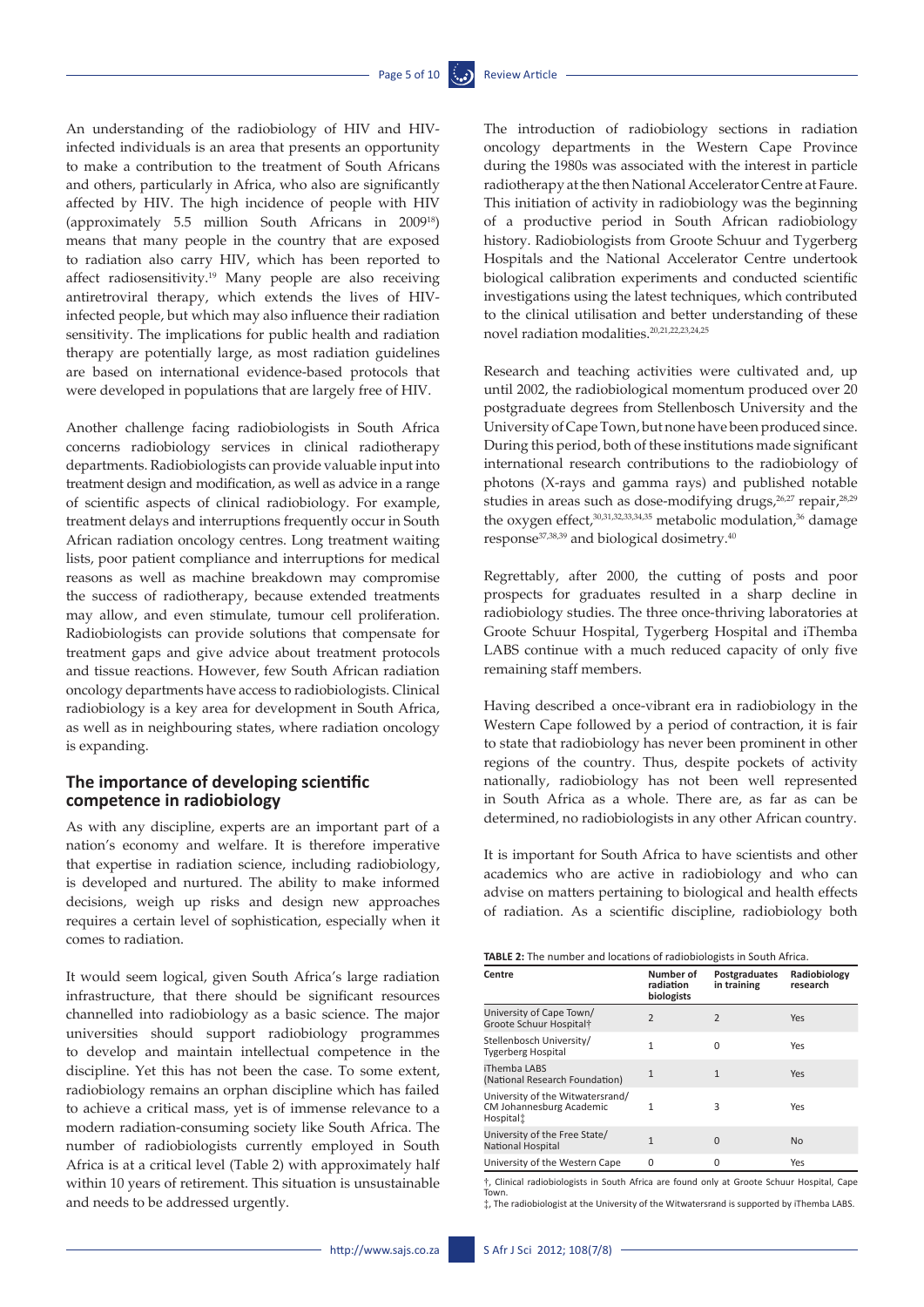An understanding of the radiobiology of HIV and HIVinfected individuals is an area that presents an opportunity to make a contribution to the treatment of South Africans and others, particularly in Africa, who also are significantly affected by HIV. The high incidence of people with HIV (approximately 5.5 million South Africans in 200918) means that many people in the country that are exposed to radiation also carry HIV, which has been reported to affect radiosensitivity.<sup>19</sup> Many people are also receiving antiretroviral therapy, which extends the lives of HIVinfected people, but which may also influence their radiation sensitivity. The implications for public health and radiation therapy are potentially large, as most radiation guidelines are based on international evidence-based protocols that were developed in populations that are largely free of HIV.

Another challenge facing radiobiologists in South Africa concerns radiobiology services in clinical radiotherapy departments. Radiobiologists can provide valuable input into treatment design and modification, as well as advice in a range of scientific aspects of clinical radiobiology. For example, treatment delays and interruptions frequently occur in South African radiation oncology centres. Long treatment waiting lists, poor patient compliance and interruptions for medical reasons as well as machine breakdown may compromise the success of radiotherapy, because extended treatments may allow, and even stimulate, tumour cell proliferation. Radiobiologists can provide solutions that compensate for treatment gaps and give advice about treatment protocols and tissue reactions. However, few South African radiation oncology departments have access to radiobiologists. Clinical radiobiology is a key area for development in South Africa, as well as in neighbouring states, where radiation oncology is expanding.

# **The importance of developing scientific competence in radiobiology**

As with any discipline, experts are an important part of a nation's economy and welfare. It is therefore imperative that expertise in radiation science, including radiobiology, is developed and nurtured. The ability to make informed decisions, weigh up risks and design new approaches requires a certain level of sophistication, especially when it comes to radiation.

It would seem logical, given South Africa's large radiation infrastructure, that there should be significant resources channelled into radiobiology as a basic science. The major universities should support radiobiology programmes to develop and maintain intellectual competence in the discipline. Yet this has not been the case. To some extent, radiobiology remains an orphan discipline which has failed to achieve a critical mass, yet is of immense relevance to a modern radiation-consuming society like South Africa. The number of radiobiologists currently employed in South Africa is at a critical level (Table 2) with approximately half within 10 years of retirement. This situation is unsustainable and needs to be addressed urgently.

The introduction of radiobiology sections in radiation oncology departments in the Western Cape Province during the 1980s was associated with the interest in particle radiotherapy at the then National Accelerator Centre at Faure. This initiation of activity in radiobiology was the beginning of a productive period in South African radiobiology history. Radiobiologists from Groote Schuur and Tygerberg Hospitals and the National Accelerator Centre undertook biological calibration experiments and conducted scientific investigations using the latest techniques, which contributed to the clinical utilisation and better understanding of these novel radiation modalities.20,21,22,23,24,25

Research and teaching activities were cultivated and, up until 2002, the radiobiological momentum produced over 20 postgraduate degrees from Stellenbosch University and the University of Cape Town, but none have been produced since. During this period, both of these institutions made significant international research contributions to the radiobiology of photons (X-rays and gamma rays) and published notable studies in areas such as dose-modifying drugs,<sup>26,27</sup> repair,<sup>28,29</sup> the oxygen effect,<sup>30,31,32,33,34,35</sup> metabolic modulation,<sup>36</sup> damage response<sup>37,38,39</sup> and biological dosimetry.<sup>40</sup>

Regrettably, after 2000, the cutting of posts and poor prospects for graduates resulted in a sharp decline in radiobiology studies. The three once-thriving laboratories at Groote Schuur Hospital, Tygerberg Hospital and iThemba LABS continue with a much reduced capacity of only five remaining staff members.

Having described a once-vibrant era in radiobiology in the Western Cape followed by a period of contraction, it is fair to state that radiobiology has never been prominent in other regions of the country. Thus, despite pockets of activity nationally, radiobiology has not been well represented in South Africa as a whole. There are, as far as can be determined, no radiobiologists in any other African country.

It is important for South Africa to have scientists and other academics who are active in radiobiology and who can advise on matters pertaining to biological and health effects of radiation. As a scientific discipline, radiobiology both

| Centre                                                                    | Number of<br>radiation<br>biologists | Postgraduates<br>in training | Radiobiology<br>research |
|---------------------------------------------------------------------------|--------------------------------------|------------------------------|--------------------------|
| University of Cape Town/<br>Groote Schuur Hospital†                       | $\overline{2}$                       | $\overline{2}$               | Yes                      |
| Stellenbosch University/<br><b>Tygerberg Hospital</b>                     | 1                                    | $\Omega$                     | Yes                      |
| iThemba LABS<br>(National Research Foundation)                            | 1                                    | $\mathbf{1}$                 | Yes                      |
| University of the Witwatersrand/<br>CM Johannesburg Academic<br>Hospital: | 1                                    | 3                            | Yes                      |
| University of the Free State/<br>National Hospital                        | 1                                    | 0                            | <b>No</b>                |
| University of the Western Cape                                            | 0                                    | 0                            | Yes                      |

†, Clinical radiobiologists in South Africa are found only at Groote Schuur Hospital, Cape

Town. ‡, The radiobiologist at the University of the Witwatersrand is supported by iThemba LABS.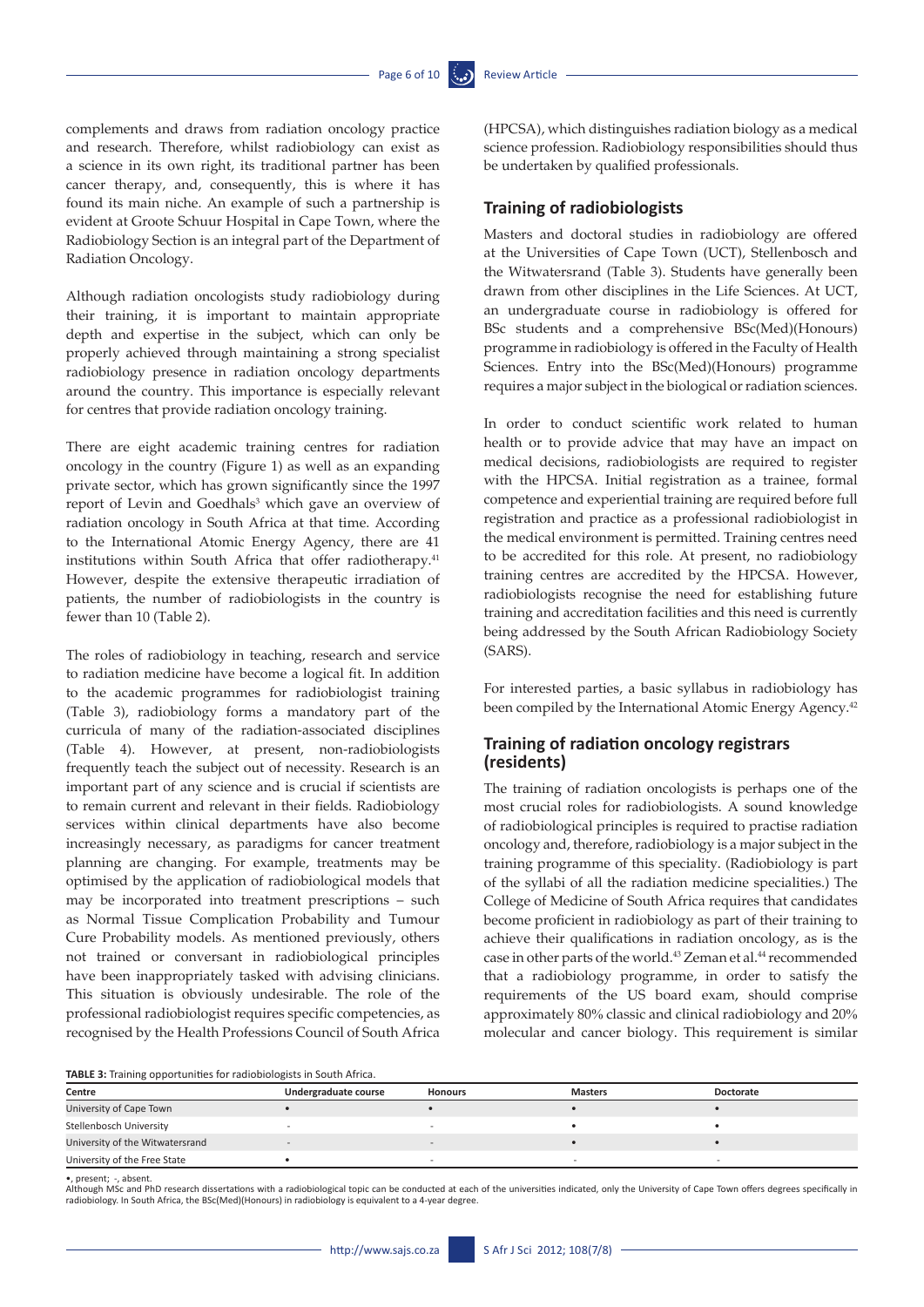complements and draws from radiation oncology practice and research. Therefore, whilst radiobiology can exist as a science in its own right, its traditional partner has been cancer therapy, and, consequently, this is where it has found its main niche. An example of such a partnership is evident at Groote Schuur Hospital in Cape Town, where the Radiobiology Section is an integral part of the Department of Radiation Oncology.

Although radiation oncologists study radiobiology during their training, it is important to maintain appropriate depth and expertise in the subject, which can only be properly achieved through maintaining a strong specialist radiobiology presence in radiation oncology departments around the country. This importance is especially relevant for centres that provide radiation oncology training.

There are eight academic training centres for radiation oncology in the country (Figure 1) as well as an expanding private sector, which has grown significantly since the 1997 report of Levin and Goedhals<sup>3</sup> which gave an overview of radiation oncology in South Africa at that time. According to the International Atomic Energy Agency, there are 41 institutions within South Africa that offer radiotherapy.<sup>41</sup> However, despite the extensive therapeutic irradiation of patients, the number of radiobiologists in the country is fewer than 10 (Table 2).

The roles of radiobiology in teaching, research and service to radiation medicine have become a logical fit. In addition to the academic programmes for radiobiologist training (Table 3), radiobiology forms a mandatory part of the curricula of many of the radiation-associated disciplines (Table 4). However, at present, non-radiobiologists frequently teach the subject out of necessity. Research is an important part of any science and is crucial if scientists are to remain current and relevant in their fields. Radiobiology services within clinical departments have also become increasingly necessary, as paradigms for cancer treatment planning are changing. For example, treatments may be optimised by the application of radiobiological models that may be incorporated into treatment prescriptions – such as Normal Tissue Complication Probability and Tumour Cure Probability models. As mentioned previously, others not trained or conversant in radiobiological principles have been inappropriately tasked with advising clinicians. This situation is obviously undesirable. The role of the professional radiobiologist requires specific competencies, as recognised by the Health Professions Council of South Africa

**TABLE 3:** Training opportunities for radiobiologists in South Africa.

| Centre                          | Undergraduate course | <b>Honours</b> | <b>Masters</b> | <b>Doctorate</b> |
|---------------------------------|----------------------|----------------|----------------|------------------|
| University of Cape Town         |                      |                |                |                  |
| Stellenbosch University         |                      |                |                |                  |
| University of the Witwatersrand |                      |                |                |                  |
| University of the Free State    |                      |                |                |                  |

• present: - absent.

Although MSc and PhD research dissertations with a radiobiological topic can be conducted at each of the universities indicated, only the University of Cape Town offers degrees specifically in radiobiology. In South Africa, the BSc(Med)(Honours) in radiobiology is equivalent to a 4-year degree.

(HPCSA), which distinguishes radiation biology as a medical science profession. Radiobiology responsibilities should thus be undertaken by qualified professionals.

### **Training of radiobiologists**

Masters and doctoral studies in radiobiology are offered at the Universities of Cape Town (UCT), Stellenbosch and the Witwatersrand (Table 3). Students have generally been drawn from other disciplines in the Life Sciences. At UCT, an undergraduate course in radiobiology is offered for BSc students and a comprehensive BSc(Med)(Honours) programme in radiobiology is offered in the Faculty of Health Sciences. Entry into the BSc(Med)(Honours) programme requires a major subject in the biological or radiation sciences.

In order to conduct scientific work related to human health or to provide advice that may have an impact on medical decisions, radiobiologists are required to register with the HPCSA. Initial registration as a trainee, formal competence and experiential training are required before full registration and practice as a professional radiobiologist in the medical environment is permitted. Training centres need to be accredited for this role. At present, no radiobiology training centres are accredited by the HPCSA. However, radiobiologists recognise the need for establishing future training and accreditation facilities and this need is currently being addressed by the South African Radiobiology Society (SARS).

For interested parties, a basic syllabus in radiobiology has been compiled by the International Atomic Energy Agency.42

# **Training of radiation oncology registrars (residents)**

The training of radiation oncologists is perhaps one of the most crucial roles for radiobiologists. A sound knowledge of radiobiological principles is required to practise radiation oncology and, therefore, radiobiology is a major subject in the training programme of this speciality. (Radiobiology is part of the syllabi of all the radiation medicine specialities.) The College of Medicine of South Africa requires that candidates become proficient in radiobiology as part of their training to achieve their qualifications in radiation oncology, as is the case in other parts of the world.43 Zeman et al.44 recommended that a radiobiology programme, in order to satisfy the requirements of the US board exam, should comprise approximately 80% classic and clinical radiobiology and 20% molecular and cancer biology. This requirement is similar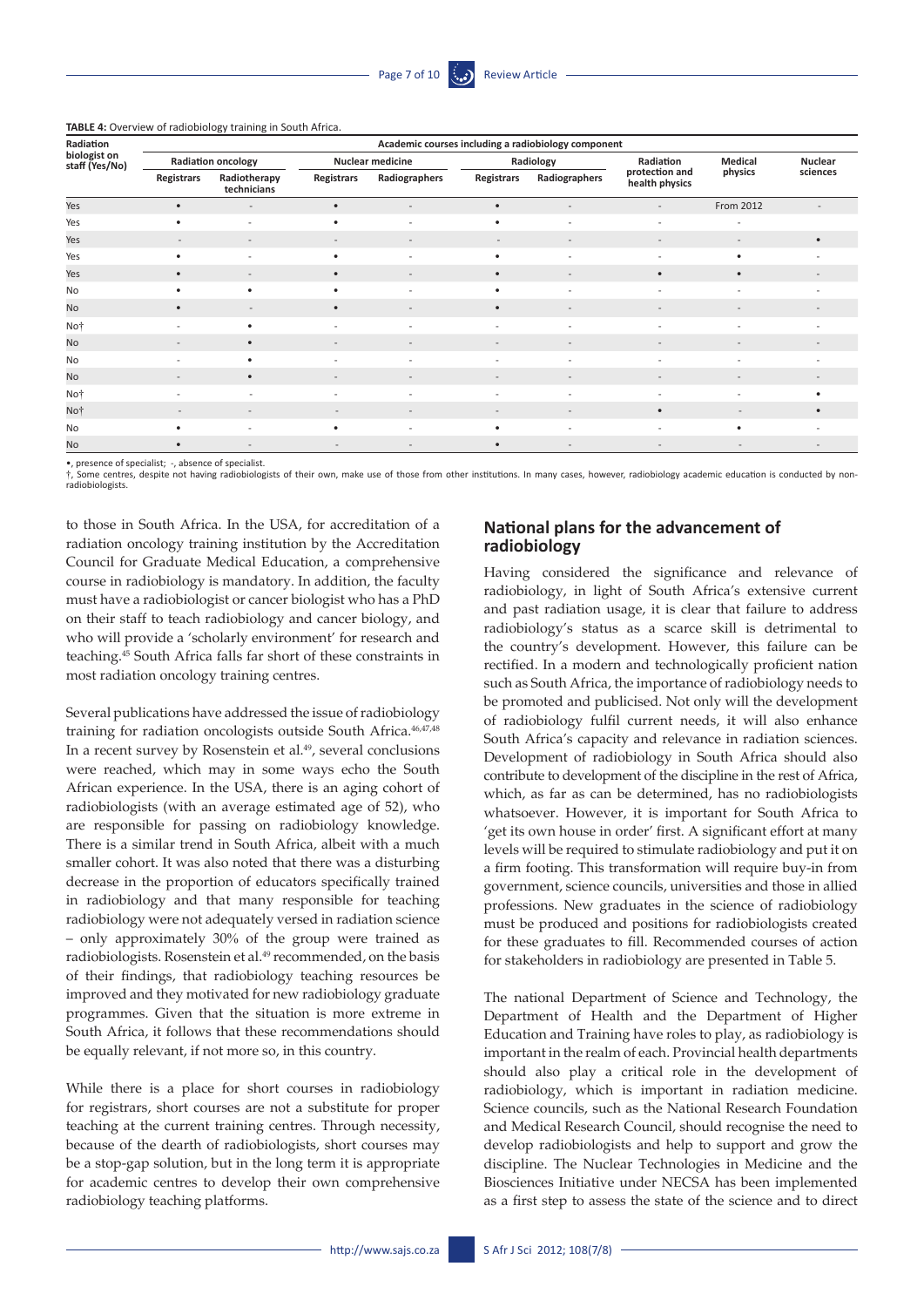**TABLE 4:** Overview of radiobiology training in South Africa.

| Radiation<br>biologist on<br>staff (Yes/No) | Academic courses including a radiobiology component |                             |                          |                          |                          |                          |                                  |                          |                          |
|---------------------------------------------|-----------------------------------------------------|-----------------------------|--------------------------|--------------------------|--------------------------|--------------------------|----------------------------------|--------------------------|--------------------------|
|                                             | <b>Radiation oncology</b>                           |                             | Nuclear medicine         |                          | Radiology                |                          | Radiation                        | Medical                  | Nuclear                  |
|                                             | Registrars                                          | Radiotherapy<br>technicians | Registrars               | Radiographers            | Registrars               | Radiographers            | protection and<br>health physics | physics                  | sciences                 |
| Yes                                         | $\bullet$                                           | $\overline{\phantom{a}}$    | $\bullet$                | $\overline{\phantom{a}}$ | $\bullet$                | $\overline{\phantom{a}}$ | $\overline{\phantom{a}}$         | From 2012                |                          |
| Yes                                         | $\bullet$                                           | $\overline{a}$              | $\bullet$                | $\sim$                   | $\bullet$                | $\overline{\phantom{a}}$ | $\overline{\phantom{a}}$         | $\overline{\phantom{a}}$ |                          |
| Yes                                         |                                                     | $\overline{\phantom{a}}$    | $\sim$                   | $\overline{\phantom{a}}$ | $\overline{\phantom{a}}$ | $\overline{\phantom{a}}$ | $\overline{\phantom{a}}$         | $\overline{\phantom{a}}$ | $\bullet$                |
| Yes                                         | $\bullet$                                           | $\sim$                      | $\bullet$                | $\sim$                   | $\bullet$                | $\overline{\phantom{a}}$ | $\overline{\phantom{a}}$         | $\bullet$                |                          |
| Yes                                         | $\bullet$                                           | $\sim$                      | $\bullet$                | $\sim$                   | $\bullet$                | $\overline{\phantom{a}}$ | $\bullet$                        | $\bullet$                |                          |
| No                                          | $\bullet$                                           | $\bullet$                   | $\bullet$                | $\sim$                   | $\bullet$                | $\overline{\phantom{a}}$ | $\overline{\phantom{a}}$         | $\overline{\phantom{a}}$ | $\overline{\phantom{a}}$ |
| No                                          | $\bullet$                                           | $\overline{\phantom{a}}$    | $\bullet$                | $\overline{\phantom{a}}$ | $\bullet$                | $\overline{\phantom{a}}$ | $\overline{\phantom{a}}$         | $\overline{\phantom{a}}$ |                          |
| Not                                         |                                                     | $\bullet$                   | $\overline{a}$           | $\overline{a}$           |                          | $\overline{\phantom{a}}$ |                                  |                          |                          |
| No                                          |                                                     | $\bullet$                   | $\sim$                   |                          |                          |                          |                                  |                          |                          |
| No                                          |                                                     | $\bullet$                   | $\overline{a}$           | $\overline{a}$           |                          | $\overline{\phantom{a}}$ |                                  | $\overline{\phantom{a}}$ |                          |
| No                                          |                                                     | $\bullet$                   | $\sim$                   |                          |                          |                          |                                  |                          |                          |
| No†                                         | $\overline{\phantom{0}}$                            | $\overline{\phantom{a}}$    | $\overline{\phantom{a}}$ | $\sim$                   | $\overline{\phantom{a}}$ | $\overline{\phantom{a}}$ | $\overline{\phantom{a}}$         | $\overline{\phantom{a}}$ | ٠                        |
| Not                                         |                                                     | $\overline{\phantom{a}}$    | $\overline{\phantom{a}}$ | $\overline{\phantom{a}}$ |                          | $\overline{\phantom{0}}$ | $\bullet$                        | $\overline{\phantom{a}}$ | $\bullet$                |
| No                                          | ٠                                                   | $\sim$                      | $\bullet$                | $\sim$                   | $\bullet$                | $\overline{\phantom{a}}$ | $\overline{\phantom{a}}$         | $\bullet$                | $\overline{\phantom{a}}$ |
| No                                          | $\bullet$                                           | $\sim$                      | $\sim$                   | $\sim$                   | $\bullet$                | $\overline{\phantom{a}}$ | $\overline{\phantom{a}}$         | $\overline{\phantom{a}}$ | $\overline{\phantom{a}}$ |

•, presence of specialist; -, absence of specialist.<br>†, Some centres, despite not having radiobiologists of their own, make use of those from other institutions. In many cases, however, radiobiology academic education is c radiobiologists.

to those in South Africa. In the USA, for accreditation of a radiation oncology training institution by the Accreditation Council for Graduate Medical Education, a comprehensive course in radiobiology is mandatory. In addition, the faculty must have a radiobiologist or cancer biologist who has a PhD on their staff to teach radiobiology and cancer biology, and who will provide a 'scholarly environment' for research and teaching.45 South Africa falls far short of these constraints in most radiation oncology training centres.

Several publications have addressed the issue of radiobiology training for radiation oncologists outside South Africa.46,47,48 In a recent survey by Rosenstein et al.<sup>49</sup>, several conclusions were reached, which may in some ways echo the South African experience. In the USA, there is an aging cohort of radiobiologists (with an average estimated age of 52), who are responsible for passing on radiobiology knowledge. There is a similar trend in South Africa, albeit with a much smaller cohort. It was also noted that there was a disturbing decrease in the proportion of educators specifically trained in radiobiology and that many responsible for teaching radiobiology were not adequately versed in radiation science – only approximately 30% of the group were trained as radiobiologists. Rosenstein et al.<sup>49</sup> recommended, on the basis of their findings, that radiobiology teaching resources be improved and they motivated for new radiobiology graduate programmes. Given that the situation is more extreme in South Africa, it follows that these recommendations should be equally relevant, if not more so, in this country.

While there is a place for short courses in radiobiology for registrars, short courses are not a substitute for proper teaching at the current training centres. Through necessity, because of the dearth of radiobiologists, short courses may be a stop-gap solution, but in the long term it is appropriate for academic centres to develop their own comprehensive radiobiology teaching platforms.

# **National plans for the advancement of radiobiology**

Having considered the significance and relevance of radiobiology, in light of South Africa's extensive current and past radiation usage, it is clear that failure to address radiobiology's status as a scarce skill is detrimental to the country's development. However, this failure can be rectified. In a modern and technologically proficient nation such as South Africa, the importance of radiobiology needs to be promoted and publicised. Not only will the development of radiobiology fulfil current needs, it will also enhance South Africa's capacity and relevance in radiation sciences. Development of radiobiology in South Africa should also contribute to development of the discipline in the rest of Africa, which, as far as can be determined, has no radiobiologists whatsoever. However, it is important for South Africa to 'get its own house in order' first. A significant effort at many levels will be required to stimulate radiobiology and put it on a firm footing. This transformation will require buy-in from government, science councils, universities and those in allied professions. New graduates in the science of radiobiology must be produced and positions for radiobiologists created for these graduates to fill. Recommended courses of action for stakeholders in radiobiology are presented in Table 5.

The national Department of Science and Technology, the Department of Health and the Department of Higher Education and Training have roles to play, as radiobiology is important in the realm of each. Provincial health departments should also play a critical role in the development of radiobiology, which is important in radiation medicine. Science councils, such as the National Research Foundation and Medical Research Council, should recognise the need to develop radiobiologists and help to support and grow the discipline. The Nuclear Technologies in Medicine and the Biosciences Initiative under NECSA has been implemented as a first step to assess the state of the science and to direct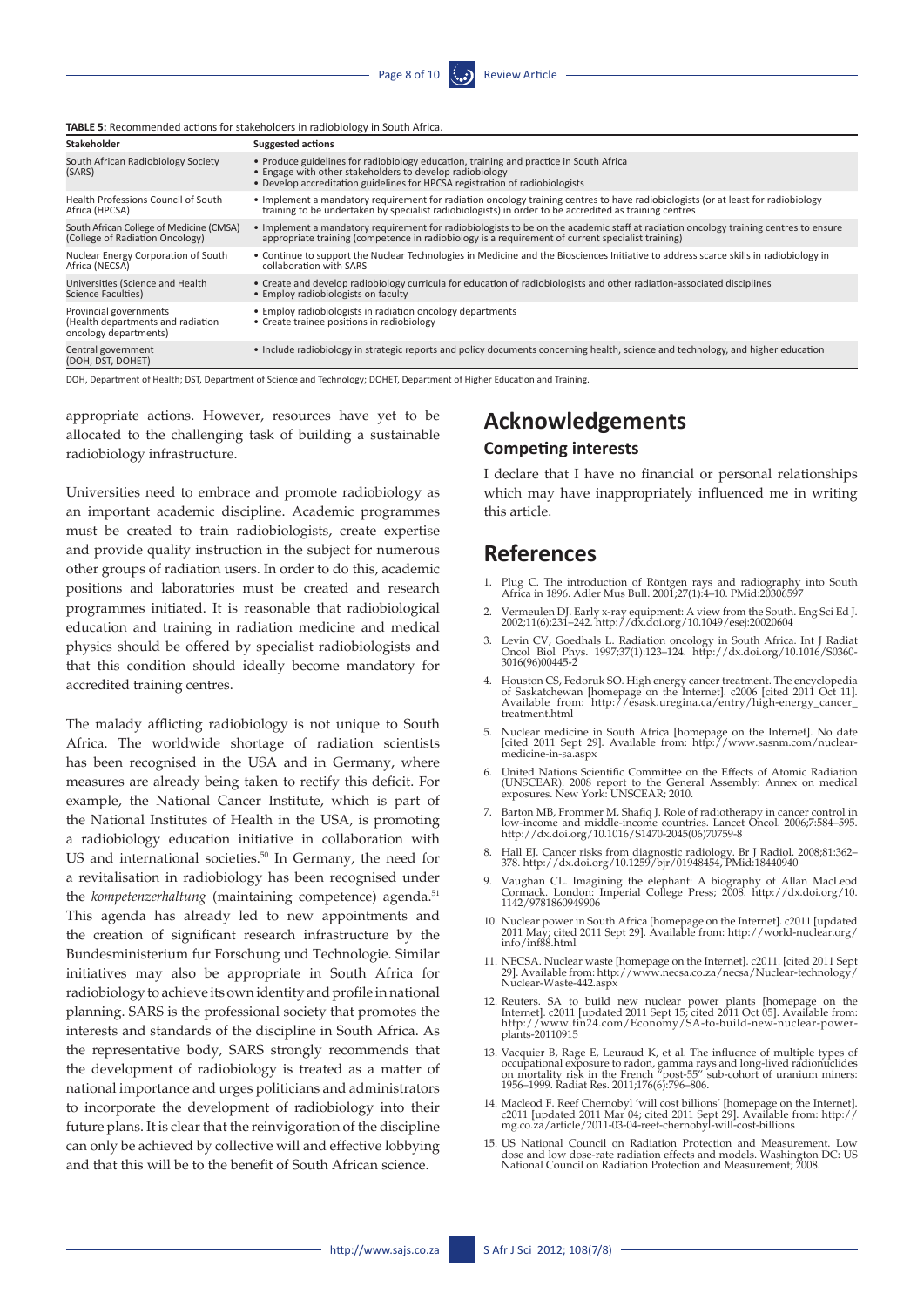#### **TABLE 5:** Recommended actions for stakeholders in radiobiology in South Africa.

| <b>Stakeholder</b>                                                                   | Suggested actions                                                                                                                                                                                                                  |
|--------------------------------------------------------------------------------------|------------------------------------------------------------------------------------------------------------------------------------------------------------------------------------------------------------------------------------|
| South African Radiobiology Society<br>(SARS)                                         | • Produce guidelines for radiobiology education, training and practice in South Africa<br>• Engage with other stakeholders to develop radiobiology<br>• Develop accreditation guidelines for HPCSA registration of radiobiologists |
| Health Professions Council of South                                                  | • Implement a mandatory requirement for radiation oncology training centres to have radiobiologists (or at least for radiobiology                                                                                                  |
| Africa (HPCSA)                                                                       | training to be undertaken by specialist radiobiologists) in order to be accredited as training centres                                                                                                                             |
| South African College of Medicine (CMSA)                                             | • Implement a mandatory requirement for radiobiologists to be on the academic staff at radiation oncology training centres to ensure                                                                                               |
| (College of Radiation Oncology)                                                      | appropriate training (competence in radiobiology is a requirement of current specialist training)                                                                                                                                  |
| Nuclear Energy Corporation of South                                                  | • Continue to support the Nuclear Technologies in Medicine and the Biosciences Initiative to address scarce skills in radiobiology in                                                                                              |
| Africa (NECSA)                                                                       | collaboration with SARS                                                                                                                                                                                                            |
| Universities (Science and Health                                                     | • Create and develop radiobiology curricula for education of radiobiologists and other radiation-associated disciplines                                                                                                            |
| Science Faculties)                                                                   | • Employ radiobiologists on faculty                                                                                                                                                                                                |
| Provincial governments<br>(Health departments and radiation<br>oncology departments) | • Employ radiobiologists in radiation oncology departments<br>• Create trainee positions in radiobiology                                                                                                                           |
| Central government<br>(DOH, DST, DOHET)                                              | • Include radiobiology in strategic reports and policy documents concerning health, science and technology, and higher education                                                                                                   |

DOH, Department of Health; DST, Department of Science and Technology; DOHET, Department of Higher Education and Training.

appropriate actions. However, resources have yet to be allocated to the challenging task of building a sustainable radiobiology infrastructure.

Universities need to embrace and promote radiobiology as an important academic discipline. Academic programmes must be created to train radiobiologists, create expertise and provide quality instruction in the subject for numerous other groups of radiation users. In order to do this, academic positions and laboratories must be created and research programmes initiated. It is reasonable that radiobiological education and training in radiation medicine and medical physics should be offered by specialist radiobiologists and that this condition should ideally become mandatory for accredited training centres.

The malady afflicting radiobiology is not unique to South Africa. The worldwide shortage of radiation scientists has been recognised in the USA and in Germany, where measures are already being taken to rectify this deficit. For example, the National Cancer Institute, which is part of the National Institutes of Health in the USA, is promoting a radiobiology education initiative in collaboration with US and international societies.<sup>50</sup> In Germany, the need for a revitalisation in radiobiology has been recognised under the *kompetenzerhaltung* (maintaining competence) agenda.<sup>51</sup> This agenda has already led to new appointments and the creation of significant research infrastructure by the Bundesministerium fur Forschung und Technologie. Similar initiatives may also be appropriate in South Africa for radiobiology to achieve its own identity and profile in national planning. SARS is the professional society that promotes the interests and standards of the discipline in South Africa. As the representative body, SARS strongly recommends that the development of radiobiology is treated as a matter of national importance and urges politicians and administrators to incorporate the development of radiobiology into their future plans. It is clear that the reinvigoration of the discipline can only be achieved by collective will and effective lobbying and that this will be to the benefit of South African science.

# **Acknowledgements Competing interests**

I declare that I have no financial or personal relationships which may have inappropriately influenced me in writing this article.

# **References**

- 1. Plug C. The introduction of R<sup>ö</sup>ntgen rays and radiography into South Africa in 1896. Adler Mus Bull. 2001;27(1):4–10. PMid:20306597
- 2. Vermeulen DJ. Early x-ray equipment: A view from the South. Eng Sci Ed J. 2002;11(6):231–242. <http://dx.doi.org/10.1049/esej:20020604>
- 3. Levin CV, Goedhals L. Radiation oncology in South Africa. Int J Radiat Oncol Biol Phys. 1997;37(1):123–124. [http://dx.doi.org/10.1016/S0360-](http://dx.doi.org/10.1016/S0360-3016%2896%2900445-2) [3016\(96\)00445-2](http://dx.doi.org/10.1016/S0360-3016%2896%2900445-2)
- 4. Houston CS, Fedoruk SO. High energy cancer treatment. The encyclopedia of Saskatchewan [homepage on the Internet]. c2006 [cited 2011 Oct 11]. Available from: [http://esask.uregina.ca/entry/high-energy\\_cancer\\_](http://esask.uregina.ca/entry/high-energy_cancer_treatment.html)treatment.ht
- 5. Nuclear medicine in South Africa [homepage on the Internet]. No date [cited 2011 Sept 29]. Available from: [http://www.sasnm.com/nuclear-](http://www.sasnm.com/nuclear-medicine-in-sa.aspx) [medicine-in-sa.aspx](http://www.sasnm.com/nuclear-medicine-in-sa.aspx)
- 6. United Nations Scientific Committee on the Effects of Atomic Radiation (UNSCEAR). 2008 report to the General Assembly: Annex on medical exposures. New York: UNSCEAR; 2010.
- 7. Barton MB, Frommer M, Shafiq J. Role of radiotherapy in cancer control in low-income and middle-income countries. Lancet Oncol. 2006;7:584–595. [http://dx.doi.org/10.1016/S1470-2045\(06\)70759-8](http://dx.doi.org/10.1016/S1470-2045%2806%2970759-8)
- 8. Hall EJ. Cancer risks from diagnostic radiology. Br J Radiol. 2008;81:362– 378. [http://dx.doi.org/10.1259/bjr/01948454,](http://dx.doi.org/10.1259/bjr/01948454) PMid:18440940
- 9. Vaughan CL. Imagining the elephant: A biography of Allan MacLeod Corpact. London: Imperial College Press; 2008. http://dx.doi.org/10. [Cormack. London: I](http://dx.doi.org/10.1142/9781860949906)mperial College Press; 2008. http://dx.doi.org/10.
- 10. Nuclear power in South Africa [homepage on the Internet]. c2011 [updated 2011 May; cited 2011 Sept 29]. Available from: [http://world-nuclear.org/](http://world-nuclear.org/info/inf88.html) [info/inf88.html](http://world-nuclear.org/info/inf88.html)
- 11. NECSA. Nuclear waste [homepage on the Internet]. c2011. [cited 2011 Sept 29]. Available from: [http://www.necsa.co.za/necsa/Nuclear-technology/](http://www.necsa.co.za/necsa/Nuclear-technology/Nuclear-Waste-442.aspx) [Nuclear-Waste-442.aspx](http://www.necsa.co.za/necsa/Nuclear-technology/Nuclear-Waste-442.aspx)
- 12. Reuters. SA to build new nuclear power plants [homepage on the Internet]. c2011 [updated 2011 Sept 15; cited 2011 Oct 05]. Available from:<br>[http://www.fin24.com/Economy/SA-to-build-new-nuclear-power](http://www.fin24.com/Economy/SA-to-build-new-nuclear-power-plants-20110915)[plants-20110915](http://www.fin24.com/Economy/SA-to-build-new-nuclear-power-plants-20110915)
- 13. Vacquier B, Rage E, Leuraud K, et al. The influence of multiple types of occupational exposure to radon, gamma rays and long-lived radionuclides on mortality risk in the French "post-55" sub-cohort of uranium miners: 1
- 14. Macleod F. Reef Chernobyl 'will cost billions' [homepage on the Internet].<br>c2011 Uapdated 2011 Mar 04; cited 2011 Sept 29]. Available from: [http://](http://mg.co.za/article/2011-03-04-reef-chernobyl-will-cost-billions)<br>[mg.co.za/article/2011-03-04-reef-chernobyl-will-cost-billions](http://mg.co.za/article/2011-03-04-reef-chernobyl-will-cost-billions)
- 15. US National Council on Radiation Protection and Measurement. Low dose and low dose-rate radiation effects and models. Washington DC: US National Council on Radiation Protection and Measurement; 2008.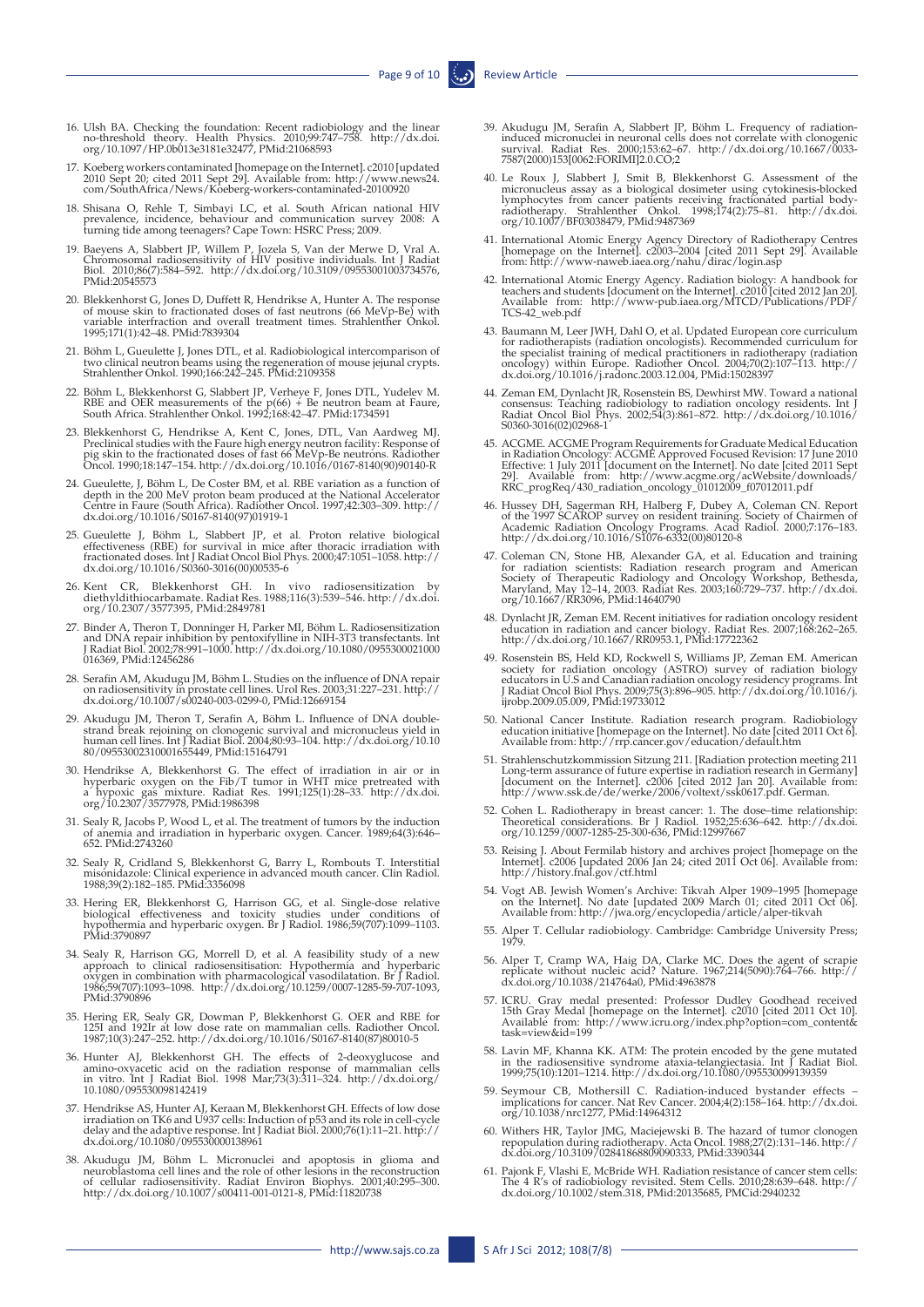- 16. Ulsh BA. Checking the foundation: Recent radiobiology and the linear no-threshold theory. Health Physics. 2010;99:747–758. [http://dx.doi.](http://dx.doi.org/10.1097/HP.0b013e3181e32477) [org/10.1097/HP.0b013e3181e32477](http://dx.doi.org/10.1097/HP.0b013e3181e32477), PMid:21068593
- 17. Koeberg workers contaminated [homepage on the Internet]. c2010 [updated 2011 [updated 20]. Available from: [http://www.news24.](http://www.news24.com/SouthAfrica/News/Koeberg-workers-contaminated-20100920 ) [com/SouthAfrica/News/Koeberg-workers-contaminated-20100920](http://www.news24.com/SouthAfrica/News/Koeberg-workers-contaminated-20100920 )<br>com/SouthAfrica/News/Koeberg-work
- 18. Shisana O, Rehle T, Simbayi LC, et al. South African national HIV prevalence, incidence, behaviour and communication survey 2008: A turning tide among teenagers? Cape Town: HSRC Press; 2009.
- 19. Baeyens A, Slabbert JP, Willem P, Jozela S, Van der Merwe D, Vral A. Chromosomal radiosensitivity of HIV positive individuals. Int J Radiat Biol. 2010;86(7):584–592. [http://dx.doi.org/10.3109/09553001003734576,](http://dx.doi.org/10.3109/09553001003734576) PMid:20
- 20. Blekkenhorst G, Jones D, Duffett R, Hendrikse A, Hunter A. The response of mouse skin to fractionated doses of fast neutrons (66 MeVp-Be) with variable interfraction and overall treatment times. Strahlenther Onkol. 1995;171(1):42–48. PMid:7839304
- 21. Böhm L, Gueulette J, Jones DTL, et al. Radiobiological intercomparison of two clinical neutron beams using the regeneration of mouse jejunal crypts. Strahlenther Onkol. 1990;166:242–245. PMid:2109358
- 22. Böhm L, Blekkenhorst G, Slabbert JP, Verheye F, Jones DTL, Yudelev M. RBE and OER measurements of the p(66) + Be neutron beam at Faure, South Africa. Strahlenther Onkol. 1992;168:42–47. PMid:1734591
- 23. Blekkenhorst G, Hendrikse A, Kent C, Jones, DTL, Van Aardweg MJ.<br>Preclinical studies with the Faure high energy neutron facility: Response of<br>pig skin to the fractionated doses of fast 66 MeVp-Be neutrons. Radiother<br>On
- 24. Gueulette, J, Böhm L, De Coster BM, et al. RBE variation as a function of depth in the 200 MeV proton beam produced at the National Accelerator<br>Centre in Faure (South Africa). Radiother Oncol. 1997;42:303–309. [http://](http://dx.doi.org/10.1016/S0167-8140%2897%2901919-1)<br>[dx.doi.org/10.1016/S0167-8140\(97\)01919-1](http://dx.doi.org/10.1016/S0167-8140%2897%2901919-1)
- 25. Gueulette J, Böhm L, Slabbert JP, et al. Proton relative biological effectiveness (RBE) for survival in mice after thoracic irradiation with fractionated doses. Int J Radiat Oncol Biol Phys. 2000;47:1051–1058. [http://](http://dx.doi.org/10.1016/S0360-3016%2800%2900535-6) [dx.doi.org/10.1016/S0360-3016\(00\)00535-6](http://dx.doi.org/10.1016/S0360-3016%2800%2900535-6)
- 26. Kent CR, Blekkenhorst GH. In vivo radiosensitization by diethyldithiocarbamate. Radiat Res. 1988;116(3):539–546. [http://dx.doi.](http://dx.doi.org/10.2307/3577395) [org/10.2307/3577395,](http://dx.doi.org/10.2307/3577395) PMid:2849781
- 27. Binder A, Theron T, Donninger H, Parker MI, Böhm L. Radiosensitization and DNA repair inhibition by pentoxifylline in NIH-3T3 transfectants. Int J Radiat Biol. 2002;78:991–1000. [http://dx.doi.org/10.1080/0955300021000](http://dx.doi.org/10.1080/0955300021000016369) [016369,](http://dx.doi.org/10.1080/0955300021000016369) PMid:12456286
- 28. Serafin AM, Akudugu JM, Böhm L. Studies on the influence of DN[A repair](http://dx.doi.org/10.1007/s00240-003-0299-0) on radiosensitivity in prostate cell lines. Urol Res. 2003;31:227–231. [http://](http://dx.doi.org/10.1007/s00240-003-0299-0) [dx.doi.org/10.1007/s00240-003-0299-0,](http://dx.doi.org/10.1007/s00240-003-0299-0) PMid:12669154
- 29. Akudugu JM, Theron T, Serafin A, Böhm L. Influence of DNA doublestrand break rejoining on clonogenic survival and micronucleus yield in<br>human cell lines. Int J Radiat Biol. 2004;80:93–104. [http://dx.doi.org/10.10](http://dx.doi.org/10.1080/09553002310001655449)<br>[80/09553002310001655449](http://dx.doi.org/10.1080/09553002310001655449), PMid:15164791
- 30. Hendrikse A, Blekkenhorst G. The effect of irradiation in air or in hyperbaric oxygen on the Fib/T tumor in WHT mice pretreated with a hypoxic gas mixture. Radiat Res. 1991;125(1):28–33. [http://dx.doi.](http://dx.doi.org/10.2307/3577978) org/10.2307/3577
- 31. Sealy R, Jacobs P, Wood L, et al. [The treatment of tumors by the induction](http://www.ncbi.nlm.nih.gov/pubmed/2743260) [of anemia and irradiation in hyperbaric oxygen.](http://www.ncbi.nlm.nih.gov/pubmed/2743260) Cancer. 1989;64(3):646– 652. PMid:2743260
- 32. Sealy R, Cridland S, Blekkenhorst G, Barry L, Rombouts T. Interstitial misonidazole: Clinical experience in advanced mouth cancer. Clin Radiol. 1988;39(2):182–185. PMid:3356098
- 33. Hering ER, Blekkenhorst G, Harrison GG, et al. [Single-dose relative](http://www.ncbi.nlm.nih.gov/pubmed/3790897) [biological effectiveness and toxicity studies under conditions of](http://www.ncbi.nlm.nih.gov/pubmed/3790897) [hypothermia and hyperbaric oxygen.](http://www.ncbi.nlm.nih.gov/pubmed/3790897) Br J Radiol. 1986;59(707):1099–1103. PMid:3790897
- 34. Sealy R, Harrison GG, Morrell D, et al. A feasibility study of a new approach to clinical radiosensitisation: Hypothermia and hyperbaric oxygen in combination with pharmacological vasodilatation. Br J Radiol. 1986;59(7
- 35. Hering ER, Sealy GR, Dowman P, Blekkenhorst G. OER and RBE for 125I and 192Ir at low dose rate on mammalian cells. Radiother Oncol. 1987;10(3):247–252. [http://dx.doi.org/10.1016/S0167-8140\(87\)80010-5](http://dx.doi.org/10.1016/S0167-8140%2887%2980010-5)
- 36. Hunter AJ, Blekkenhorst GH. The effects of 2-deoxyglucose and amino-oxyacetic acid on the radiation response of mammalian cells in vitro. Int J Radiat Biol. 1998 Mar;73(3):311–324. [http://dx.doi.org/](http://dx.doi.org/10.1080/095530098142419) 10.1080/0955300981
- 37. Hendrikse AS, Hunter AJ, Keraan M, Blekkenhorst GH. Effects of low dose irradiation on TK6 and U937 cells: Induction of p53 and its role in cell-cycle delay and the adaptive response. Int J Radiat Biol. 2000;76(1):11–21. [http://](http://dx.doi.org/10.1080/095530000138961) [dx.doi.org/10.1080/095530000138961](http://dx.doi.org/10.1080/095530000138961)
- 38. Akudugu JM, Böhm L. Micronuclei and apoptosis in glioma and neuroblastoma cell lines and the role of other lesions in the reconstruction [of cellular radiosensitivity. Radiat Environ](http://dx.doi.org/10.1007/s00411-001-0121-8) Biophys. 2001;40:295–300. [http://dx.doi.org/10.1007/s00411-001-0121-8,](http://dx.doi.org/10.1007/s00411-001-0121-8) PMid:11820738
- 39. Akudugu JM, Serafin A, Slabbert JP, Böhm L. Frequency of radiation-<br>induced micronuclei in neuronal cells does not correlate with clonogenic<br>survival. Radiat Res. 2000;153:62–67. [http://dx.doi.org/10.1667/0033-](http://dx.doi.org/10.1667/0033-7587%282000%29153%5b0062:FORIMI%5d2.0.CO;2)<br>7587(20
- 40. Le Roux J, Slabbert J, Smit B, Blekkenhorst G. Assessment of the micronucleus assay as a biological dosimeter using cytokinesis-blocked<br>lymphocytes from cancer patients receiving fractionated partial body-<br>radiotherapy. Strahlenther Onkol. 1998;174(2):75–81. [http://dx.doi.](http://dx.doi.org/10.1007/BF03038479)<br>org/10.1007/B
- 41. International Atomic Energy Agency Directory of Radiotherapy Centres<br>
[homepage on the Internet]. c2003–2004 [cited 2011 Sept 29]. Available<br>
from: <http://www-naweb.iaea.org/nahu/dirac/login.asp>
- 42. International Atomic Energy Agency. Radiation biology: A handbook for teachers and students [document on the Internet]. c2010 [cited 2012 Jan 20]. Available from: [http://www-pub.iaea.org/MTCD/Publications/PDF/](http://www-pub.iaea.org/MTCD/Publications/PDF/TCS-42_web.pdf) [TCS-42\\_web.pdf](http://www-pub.iaea.org/MTCD/Publications/PDF/TCS-42_web.pdf)
- 43. Baumann M, Leer JWH, Dahl O, et al. Updated European core curriculum<br>for radiotherapists (radiation oncologists). Recommended curriculum for<br>the specialist training of medical practitioners in radiotherapy (radiation<br>o
- 44. Zeman EM, Dynlacht JR, Rosenstein BS, Dewhirst MW. Toward a national consensus: Teaching radiobiology to radiation oncology residents. Int J Radiat Oncol Biol Phys. 2002;54(3):861–872. [http://dx.doi.org/10.1016/](http://dx.doi.org/10.1016/S0360-3016%2802%2902968-1) [S0360-3016\(02\)02968-1](http://dx.doi.org/10.1016/S0360-3016%2802%2902968-1)
- 45. ACGME. ACGME Program Requirements for Graduate Medical Education<br>in Radiation Oncology: ACGME Approved Focused Revision: 17 June 2010<br>Effective: 1 July 2011 [document on the Internet]. No date [cited 2011 Sept<br>29]. Ava
- 46. Hussey DH, Sagerman RH, Halberg F, Dubey A, Coleman CN. Report of the 1997 SCAROP survey on resident training. Society of Chairmen of Academic Radiation Oncology Programs. Acad Radiol. 2000;7:176–183. http://dx.doi.org
- 47. Coleman CN, Stone HB, Alexander GA, et al. Education and training for radiation scientists: Radiation research program and American Society of Therapeutic Radiology and Oncology Workshop, Bethesda, Maryland, May 12–14, [org/10.1667/RR3096](http://dx.doi.org/10.1667/RR3096), PMid:14640790
- 48. Dynlacht JR, Zeman EM. Recent initiatives for radiation oncology resident education in radiation and cancer biology. Radiat Res. 2007;168:262–265. <http://dx.doi.org/10.1667/RR0953.1>, PMid:17722362
- 49. Rosenstein BS, Held KD, Rockwell S, Williams JP, Zeman EM. American society for radiation oncology (ASTRO) survey of radiation biology educators in U.S and Canadian radiation oncology residency programs. Int J Radiat O
- 50. National Cancer Institute. Radiation research program. Radiobiology education initiative [homepage on the Internet]. No date [cited 2011 Oct 6].<br>Available from: http://rrp.cancer.gov/education/default.htm
- 51. Strahlenschutzkommission Sitzung 211. [Radiation protection meeting 211 Long-term assurance of future expertise in radiation research in Germany]<br>[document on the Internet]. c2006 [cited 2012 Jan 20]. Available from:<br><http://www.ssk.de/de/werke/2006/voltext/ssk0617.pdf>. German.
- 52. Cohen L. Radiotherapy in breast cancer: 1. The dose–time relationship: Theoretical considerations. Br J Radiol. 1952;25:636–642. [http://dx.doi.](http://dx.doi.org/10.1259/0007-1285-25-300-636) [org/10.1259/0007-1285-25-300-636](http://dx.doi.org/10.1259/0007-1285-25-300-636), PMid:12997667
- 53. Reising J. About Fermilab history and archives project [homepage on the Internet]. c2006 [updated 2006 Jan 24; cited 2011 Oct 06]. Available from: <http://history.fnal.gov/ctf.html>
- 54. Vogt AB. Jewish Women's Archive: Tikvah Alper 1909–1995 [homepage on the Internet]. No date [updated 2009 March 01; cited 2011 Oct 06].<br>Available from:<http://jwa.org/encyclopedia/article/alper-tikvah>
- 55. Alper T. Cellular radiobiology*.* Cambridge: Cambridge University Press; 1979.
- 56. Alper T, Cramp WA, Haig DA, Clarke MC. Does the agent of scrapie replicate without nucleic acid? Nature. 1967;214(5090):764–766. [http://](http://dx.doi.org/10.1038/214764a0) [dx.doi.org/10.1038/214764a0](http://dx.doi.org/10.1038/214764a0), PMid:4963878
- 57. ICRU. Gray medal presented: Professor Dudley Goodhead received 15th Gray Medal [homepage on the Internet]. c2010 [cited 2011 Oct 10]. [Available from: http://www.icru.org/index.php?option=com\\_content& task=view&id=199](http://www.icru.org/index.php?option=com_content&task=view&id=199)
- 58. Lavin MF, Khanna KK. ATM: The protein encoded by the gene mutated<br>in the radiosensitive syndrome ataxia-telangiectasia. Int J Radiat Biol.<br>1999;75(10):1201–1214.<http://dx.doi.org/10.1080/095530099139359>
- 59. Seymour CB, Mothersill C. Radiation-induced bystander effects implications for cancer. Nat Rev Cancer. 2004;4(2):158–164. [http://dx.doi.](http://dx.doi.org/10.1038/nrc1277) [org/10.1038/nrc1277,](http://dx.doi.org/10.1038/nrc1277) PMid:14964312
- 60. Withers HR, Taylor JMG, Maciejewski B. The hazard of tumor clonogen repopulation during radiotherapy. Acta Oncol. 1988;27(2):131–146. [http://](http://dx.doi.org/10.3109/02841868809090333) [dx.doi.org/10.3109/02841868809090333,](http://dx.doi.org/10.3109/02841868809090333) PMid:3390344
- 61. Pajonk F, Vlashi E, McBride WH. Radiation resistance of cancer stem cells: The 4 R's of radiobiology revisited. Stem Cells. 2010;28:639–648. [http://](http://dx.doi.org/10.1002/stem.318) [dx.doi.org/10.1002/stem.318](http://dx.doi.org/10.1002/stem.318), PMid:20135685, PMCid:2940232